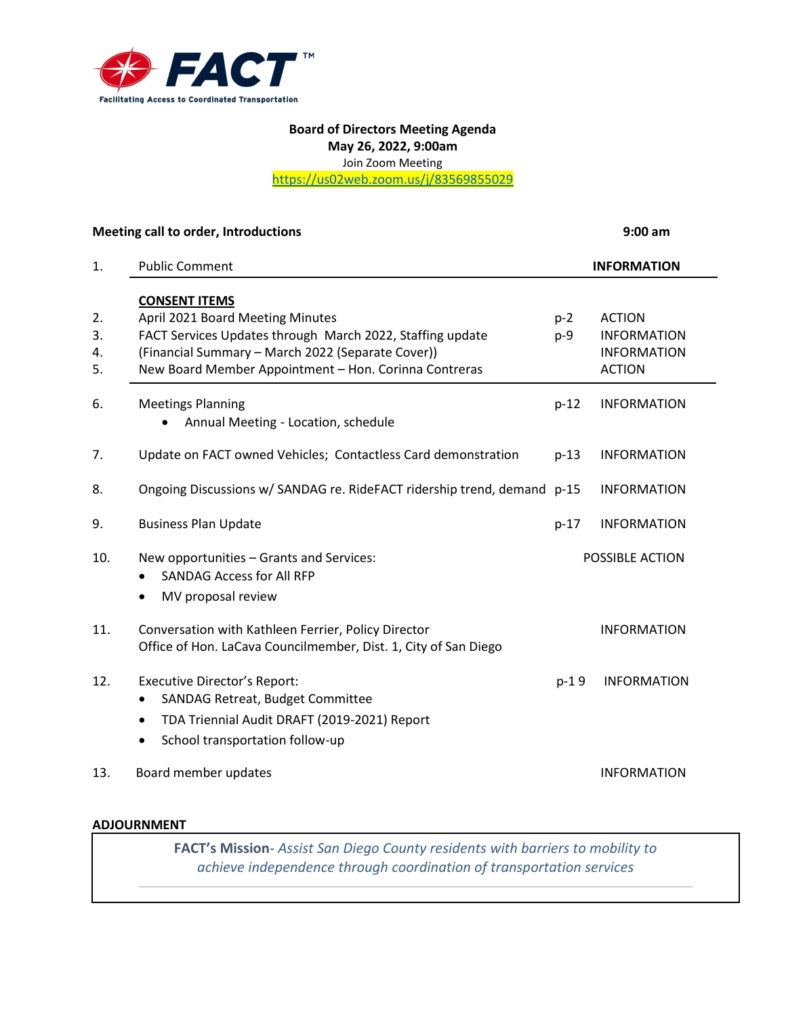

## **Board of Directors Meeting Agenda May 26, 2022, 9:00am**

Join Zoom Meeting

[https://us02web.zoom.us/j/83569855029](https://urldefense.com/v3/__https:/us02web.zoom.us/j/83569855029__;!!OBed2aHXvKmHymw!372ZaXwv1gy6LcXJRAPA4t2b-ZyvBoyuRedX0FTBp3DDp03LYSx3uDSLeh293TCb3FO4Vsk6J8X-RdN72R9bJGA$)

|     | Meeting call to order, Introductions                                                                                   |        | $9:00$ am          |  |
|-----|------------------------------------------------------------------------------------------------------------------------|--------|--------------------|--|
| 1.  | <b>Public Comment</b>                                                                                                  |        | <b>INFORMATION</b> |  |
|     | <b>CONSENT ITEMS</b>                                                                                                   |        |                    |  |
| 2.  | April 2021 Board Meeting Minutes                                                                                       | $p-2$  | <b>ACTION</b>      |  |
| 3.  | FACT Services Updates through March 2022, Staffing update                                                              | p-9    | <b>INFORMATION</b> |  |
| 4.  | (Financial Summary - March 2022 (Separate Cover))                                                                      |        | <b>INFORMATION</b> |  |
| 5.  | New Board Member Appointment - Hon. Corinna Contreras                                                                  |        | <b>ACTION</b>      |  |
| 6.  | <b>Meetings Planning</b>                                                                                               | $p-12$ | <b>INFORMATION</b> |  |
|     | Annual Meeting - Location, schedule                                                                                    |        |                    |  |
| 7.  | Update on FACT owned Vehicles; Contactless Card demonstration                                                          | $p-13$ | <b>INFORMATION</b> |  |
| 8.  | Ongoing Discussions w/ SANDAG re. RideFACT ridership trend, demand p-15                                                |        | <b>INFORMATION</b> |  |
| 9.  | <b>Business Plan Update</b>                                                                                            | $p-17$ | <b>INFORMATION</b> |  |
| 10. | New opportunities - Grants and Services:                                                                               |        | POSSIBLE ACTION    |  |
|     | <b>SANDAG Access for All RFP</b>                                                                                       |        |                    |  |
|     | MV proposal review<br>$\bullet$                                                                                        |        |                    |  |
| 11. | Conversation with Kathleen Ferrier, Policy Director<br>Office of Hon. LaCava Councilmember, Dist. 1, City of San Diego |        | <b>INFORMATION</b> |  |
| 12. | Executive Director's Report:                                                                                           | $p-19$ | <b>INFORMATION</b> |  |
|     | SANDAG Retreat, Budget Committee<br>$\bullet$                                                                          |        |                    |  |
|     | TDA Triennial Audit DRAFT (2019-2021) Report<br>$\bullet$                                                              |        |                    |  |
|     | School transportation follow-up<br>$\bullet$                                                                           |        |                    |  |
| 13. | Board member updates                                                                                                   |        | <b>INFORMATION</b> |  |
|     |                                                                                                                        |        |                    |  |

## **ADJOURNMENT**

**FACT's Mission**- *Assist San Diego County residents with barriers to mobility to achieve independence through coordination of transportation services*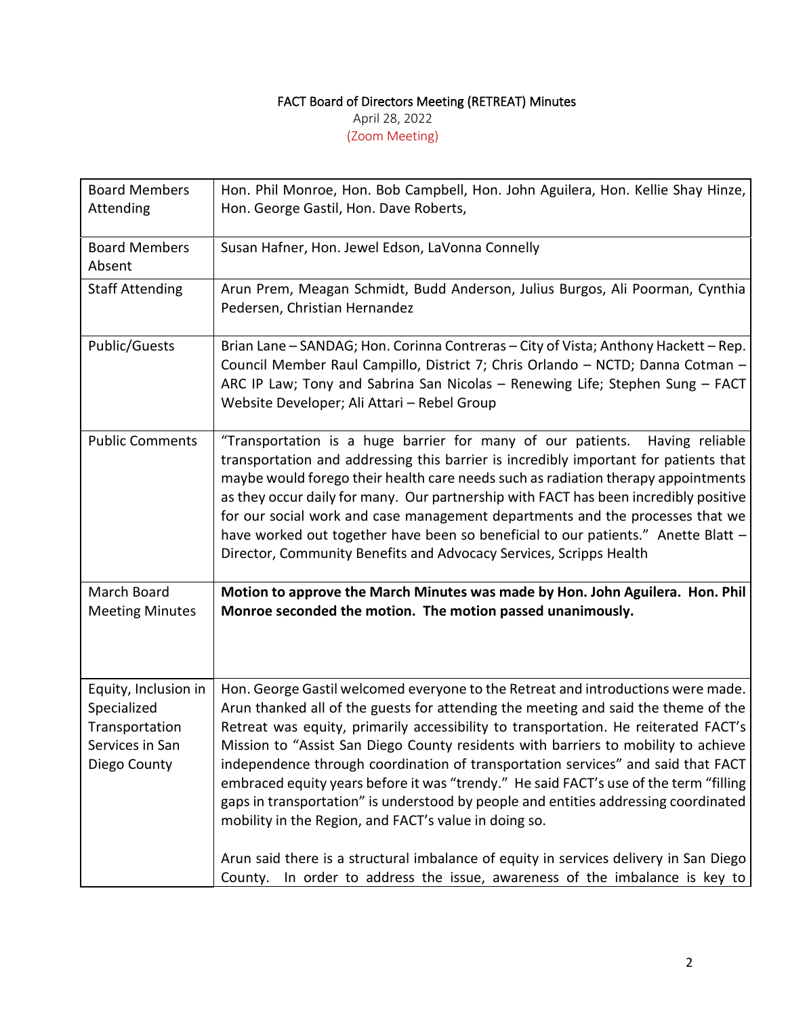## FACT Board of Directors Meeting (RETREAT) Minutes

April 28, 2022

(Zoom Meeting)

| <b>Board Members</b>                                                                     | Hon. Phil Monroe, Hon. Bob Campbell, Hon. John Aguilera, Hon. Kellie Shay Hinze,                                                                                                                                                                                                                                                                                                                                                                                                                                                                                                                                                                                                                                                                                                                                                                         |
|------------------------------------------------------------------------------------------|----------------------------------------------------------------------------------------------------------------------------------------------------------------------------------------------------------------------------------------------------------------------------------------------------------------------------------------------------------------------------------------------------------------------------------------------------------------------------------------------------------------------------------------------------------------------------------------------------------------------------------------------------------------------------------------------------------------------------------------------------------------------------------------------------------------------------------------------------------|
| Attending                                                                                | Hon. George Gastil, Hon. Dave Roberts,                                                                                                                                                                                                                                                                                                                                                                                                                                                                                                                                                                                                                                                                                                                                                                                                                   |
| <b>Board Members</b><br>Absent                                                           | Susan Hafner, Hon. Jewel Edson, LaVonna Connelly                                                                                                                                                                                                                                                                                                                                                                                                                                                                                                                                                                                                                                                                                                                                                                                                         |
| <b>Staff Attending</b>                                                                   | Arun Prem, Meagan Schmidt, Budd Anderson, Julius Burgos, Ali Poorman, Cynthia<br>Pedersen, Christian Hernandez                                                                                                                                                                                                                                                                                                                                                                                                                                                                                                                                                                                                                                                                                                                                           |
| Public/Guests                                                                            | Brian Lane - SANDAG; Hon. Corinna Contreras - City of Vista; Anthony Hackett - Rep.<br>Council Member Raul Campillo, District 7; Chris Orlando - NCTD; Danna Cotman -<br>ARC IP Law; Tony and Sabrina San Nicolas - Renewing Life; Stephen Sung - FACT<br>Website Developer; Ali Attari - Rebel Group                                                                                                                                                                                                                                                                                                                                                                                                                                                                                                                                                    |
| <b>Public Comments</b>                                                                   | "Transportation is a huge barrier for many of our patients. Having reliable<br>transportation and addressing this barrier is incredibly important for patients that<br>maybe would forego their health care needs such as radiation therapy appointments<br>as they occur daily for many. Our partnership with FACT has been incredibly positive<br>for our social work and case management departments and the processes that we<br>have worked out together have been so beneficial to our patients." Anette Blatt -<br>Director, Community Benefits and Advocacy Services, Scripps Health                                                                                                                                                                                                                                                             |
| March Board<br><b>Meeting Minutes</b>                                                    | Motion to approve the March Minutes was made by Hon. John Aguilera. Hon. Phil<br>Monroe seconded the motion. The motion passed unanimously.                                                                                                                                                                                                                                                                                                                                                                                                                                                                                                                                                                                                                                                                                                              |
| Equity, Inclusion in<br>Specialized<br>Transportation<br>Services in San<br>Diego County | Hon. George Gastil welcomed everyone to the Retreat and introductions were made.<br>Arun thanked all of the guests for attending the meeting and said the theme of the<br>Retreat was equity, primarily accessibility to transportation. He reiterated FACT's<br>Mission to "Assist San Diego County residents with barriers to mobility to achieve<br>independence through coordination of transportation services" and said that FACT<br>embraced equity years before it was "trendy." He said FACT's use of the term "filling<br>gaps in transportation" is understood by people and entities addressing coordinated<br>mobility in the Region, and FACT's value in doing so.<br>Arun said there is a structural imbalance of equity in services delivery in San Diego<br>County. In order to address the issue, awareness of the imbalance is key to |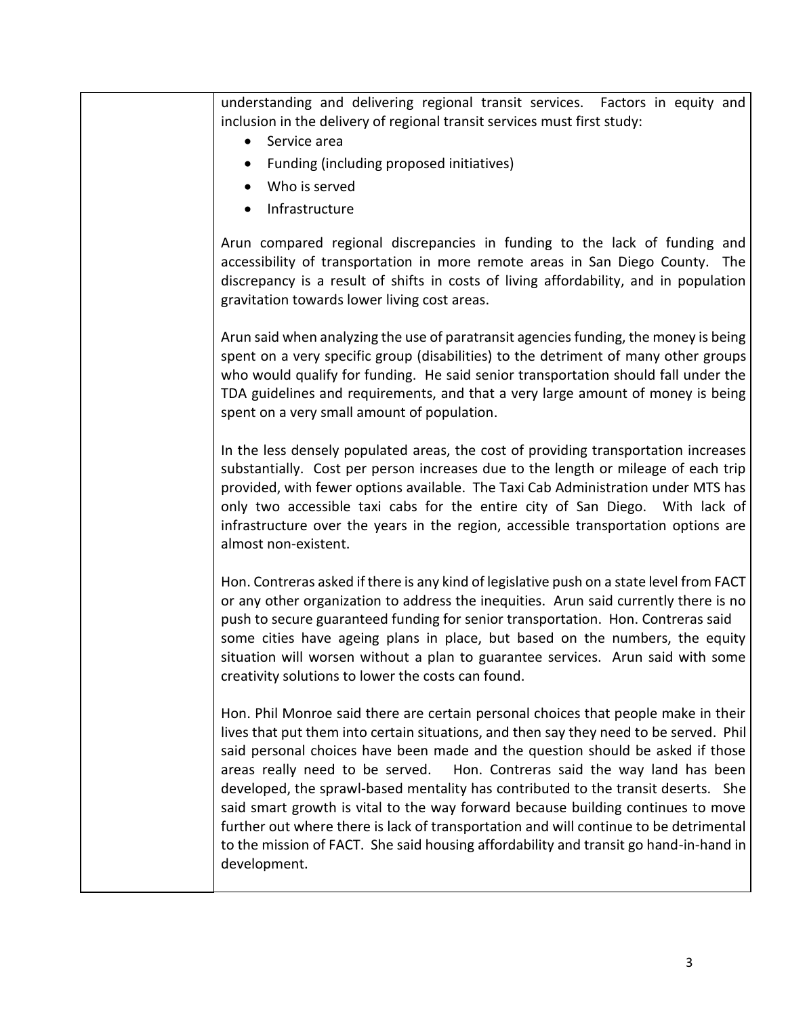understanding and delivering regional transit services. Factors in equity and inclusion in the delivery of regional transit services must first study:

- Service area
- Funding (including proposed initiatives)
- Who is served
- Infrastructure

Arun compared regional discrepancies in funding to the lack of funding and accessibility of transportation in more remote areas in San Diego County. The discrepancy is a result of shifts in costs of living affordability, and in population gravitation towards lower living cost areas.

Arun said when analyzing the use of paratransit agencies funding, the money is being spent on a very specific group (disabilities) to the detriment of many other groups who would qualify for funding. He said senior transportation should fall under the TDA guidelines and requirements, and that a very large amount of money is being spent on a very small amount of population.

In the less densely populated areas, the cost of providing transportation increases substantially. Cost per person increases due to the length or mileage of each trip provided, with fewer options available. The Taxi Cab Administration under MTS has only two accessible taxi cabs for the entire city of San Diego. With lack of infrastructure over the years in the region, accessible transportation options are almost non-existent.

Hon. Contreras asked if there is any kind of legislative push on a state level from FACT or any other organization to address the inequities. Arun said currently there is no push to secure guaranteed funding for senior transportation. Hon. Contreras said some cities have ageing plans in place, but based on the numbers, the equity situation will worsen without a plan to guarantee services. Arun said with some creativity solutions to lower the costs can found.

Hon. Phil Monroe said there are certain personal choices that people make in their lives that put them into certain situations, and then say they need to be served. Phil said personal choices have been made and the question should be asked if those areas really need to be served. Hon. Contreras said the way land has been developed, the sprawl-based mentality has contributed to the transit deserts. She said smart growth is vital to the way forward because building continues to move further out where there is lack of transportation and will continue to be detrimental to the mission of FACT. She said housing affordability and transit go hand-in-hand in development.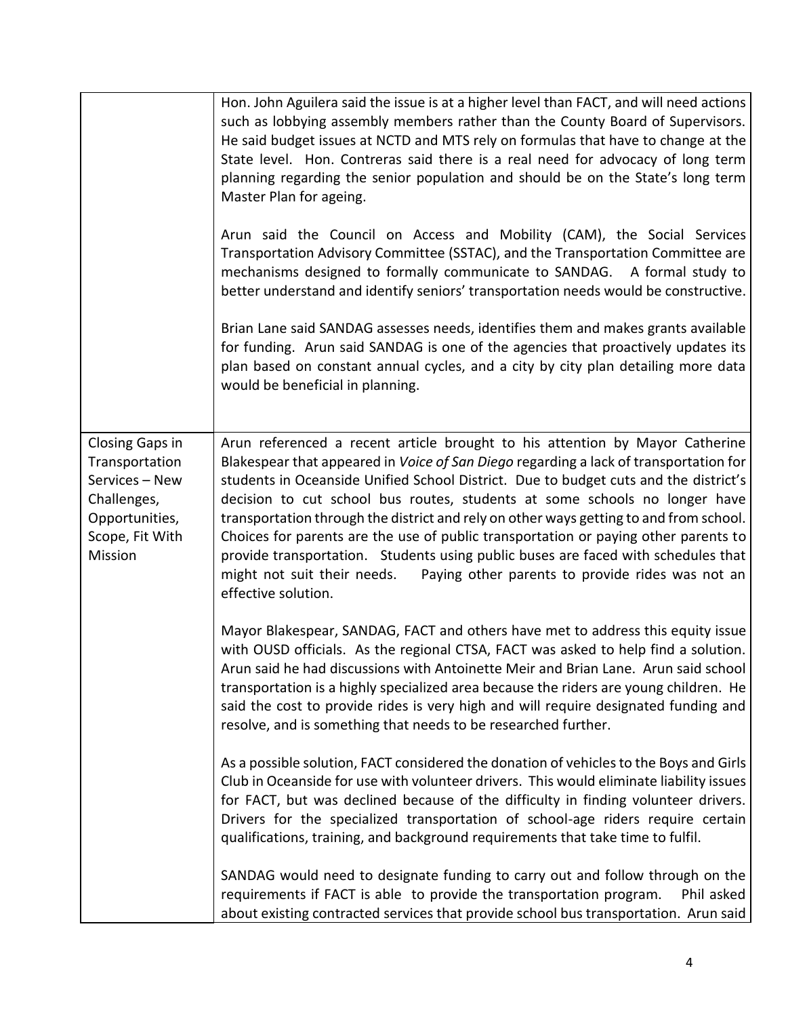|                                                                                                                    | Hon. John Aguilera said the issue is at a higher level than FACT, and will need actions<br>such as lobbying assembly members rather than the County Board of Supervisors.<br>He said budget issues at NCTD and MTS rely on formulas that have to change at the<br>State level. Hon. Contreras said there is a real need for advocacy of long term<br>planning regarding the senior population and should be on the State's long term<br>Master Plan for ageing.                                                                                                                                                                                                                                                             |
|--------------------------------------------------------------------------------------------------------------------|-----------------------------------------------------------------------------------------------------------------------------------------------------------------------------------------------------------------------------------------------------------------------------------------------------------------------------------------------------------------------------------------------------------------------------------------------------------------------------------------------------------------------------------------------------------------------------------------------------------------------------------------------------------------------------------------------------------------------------|
|                                                                                                                    | Arun said the Council on Access and Mobility (CAM), the Social Services<br>Transportation Advisory Committee (SSTAC), and the Transportation Committee are<br>mechanisms designed to formally communicate to SANDAG. A formal study to<br>better understand and identify seniors' transportation needs would be constructive.                                                                                                                                                                                                                                                                                                                                                                                               |
|                                                                                                                    | Brian Lane said SANDAG assesses needs, identifies them and makes grants available<br>for funding. Arun said SANDAG is one of the agencies that proactively updates its<br>plan based on constant annual cycles, and a city by city plan detailing more data<br>would be beneficial in planning.                                                                                                                                                                                                                                                                                                                                                                                                                             |
| Closing Gaps in<br>Transportation<br>Services - New<br>Challenges,<br>Opportunities,<br>Scope, Fit With<br>Mission | Arun referenced a recent article brought to his attention by Mayor Catherine<br>Blakespear that appeared in Voice of San Diego regarding a lack of transportation for<br>students in Oceanside Unified School District. Due to budget cuts and the district's<br>decision to cut school bus routes, students at some schools no longer have<br>transportation through the district and rely on other ways getting to and from school.<br>Choices for parents are the use of public transportation or paying other parents to<br>provide transportation. Students using public buses are faced with schedules that<br>might not suit their needs.<br>Paying other parents to provide rides was not an<br>effective solution. |
|                                                                                                                    | Mayor Blakespear, SANDAG, FACT and others have met to address this equity issue<br>with OUSD officials. As the regional CTSA, FACT was asked to help find a solution.<br>Arun said he had discussions with Antoinette Meir and Brian Lane. Arun said school<br>transportation is a highly specialized area because the riders are young children. He<br>said the cost to provide rides is very high and will require designated funding and<br>resolve, and is something that needs to be researched further.                                                                                                                                                                                                               |
|                                                                                                                    | As a possible solution, FACT considered the donation of vehicles to the Boys and Girls<br>Club in Oceanside for use with volunteer drivers. This would eliminate liability issues<br>for FACT, but was declined because of the difficulty in finding volunteer drivers.<br>Drivers for the specialized transportation of school-age riders require certain<br>qualifications, training, and background requirements that take time to fulfil.                                                                                                                                                                                                                                                                               |
|                                                                                                                    | SANDAG would need to designate funding to carry out and follow through on the<br>requirements if FACT is able to provide the transportation program.<br>Phil asked<br>about existing contracted services that provide school bus transportation. Arun said                                                                                                                                                                                                                                                                                                                                                                                                                                                                  |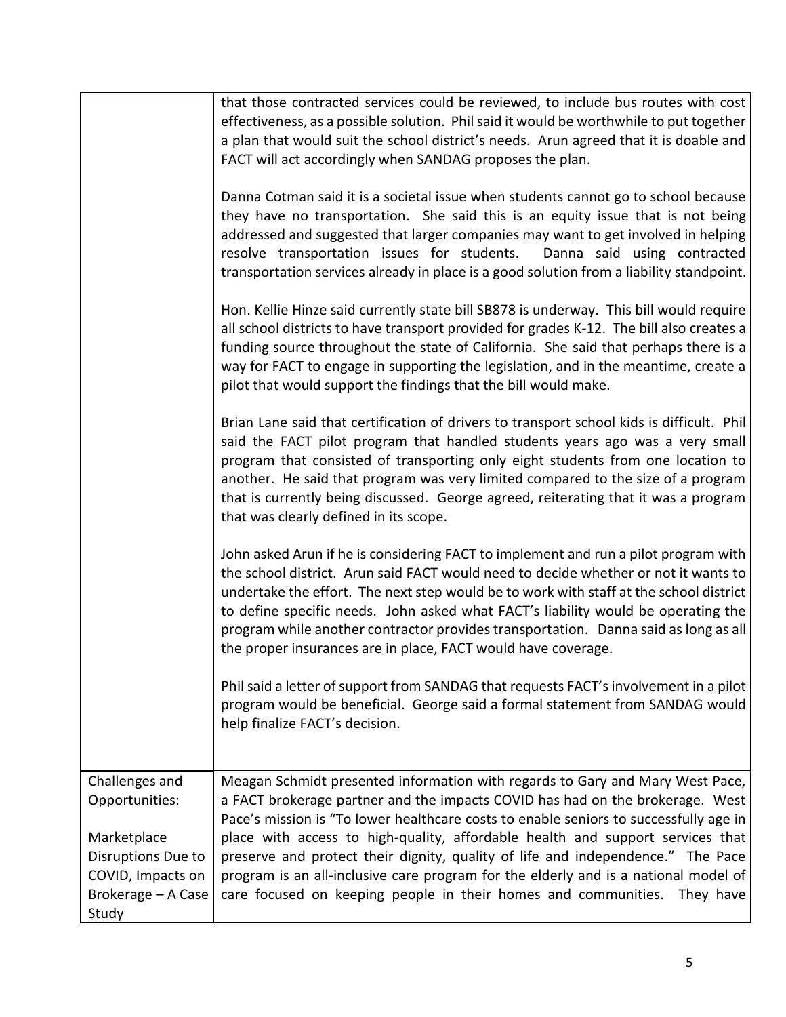|                                         | that those contracted services could be reviewed, to include bus routes with cost<br>effectiveness, as a possible solution. Phil said it would be worthwhile to put together<br>a plan that would suit the school district's needs. Arun agreed that it is doable and<br>FACT will act accordingly when SANDAG proposes the plan.                                                                                                                                                                                 |
|-----------------------------------------|-------------------------------------------------------------------------------------------------------------------------------------------------------------------------------------------------------------------------------------------------------------------------------------------------------------------------------------------------------------------------------------------------------------------------------------------------------------------------------------------------------------------|
|                                         | Danna Cotman said it is a societal issue when students cannot go to school because<br>they have no transportation. She said this is an equity issue that is not being<br>addressed and suggested that larger companies may want to get involved in helping<br>resolve transportation issues for students.<br>Danna said using contracted<br>transportation services already in place is a good solution from a liability standpoint.                                                                              |
|                                         | Hon. Kellie Hinze said currently state bill SB878 is underway. This bill would require<br>all school districts to have transport provided for grades K-12. The bill also creates a<br>funding source throughout the state of California. She said that perhaps there is a<br>way for FACT to engage in supporting the legislation, and in the meantime, create a<br>pilot that would support the findings that the bill would make.                                                                               |
|                                         | Brian Lane said that certification of drivers to transport school kids is difficult. Phil<br>said the FACT pilot program that handled students years ago was a very small<br>program that consisted of transporting only eight students from one location to<br>another. He said that program was very limited compared to the size of a program<br>that is currently being discussed. George agreed, reiterating that it was a program<br>that was clearly defined in its scope.                                 |
|                                         | John asked Arun if he is considering FACT to implement and run a pilot program with<br>the school district. Arun said FACT would need to decide whether or not it wants to<br>undertake the effort. The next step would be to work with staff at the school district<br>to define specific needs. John asked what FACT's liability would be operating the<br>program while another contractor provides transportation. Danna said as long as all<br>the proper insurances are in place, FACT would have coverage. |
|                                         | Phil said a letter of support from SANDAG that requests FACT's involvement in a pilot<br>program would be beneficial. George said a formal statement from SANDAG would<br>help finalize FACT's decision.                                                                                                                                                                                                                                                                                                          |
| Challenges and                          | Meagan Schmidt presented information with regards to Gary and Mary West Pace,                                                                                                                                                                                                                                                                                                                                                                                                                                     |
| Opportunities:                          | a FACT brokerage partner and the impacts COVID has had on the brokerage. West<br>Pace's mission is "To lower healthcare costs to enable seniors to successfully age in                                                                                                                                                                                                                                                                                                                                            |
| Marketplace                             | place with access to high-quality, affordable health and support services that                                                                                                                                                                                                                                                                                                                                                                                                                                    |
| Disruptions Due to                      | preserve and protect their dignity, quality of life and independence." The Pace                                                                                                                                                                                                                                                                                                                                                                                                                                   |
| COVID, Impacts on<br>Brokerage - A Case | program is an all-inclusive care program for the elderly and is a national model of<br>care focused on keeping people in their homes and communities. They have                                                                                                                                                                                                                                                                                                                                                   |
| Study                                   |                                                                                                                                                                                                                                                                                                                                                                                                                                                                                                                   |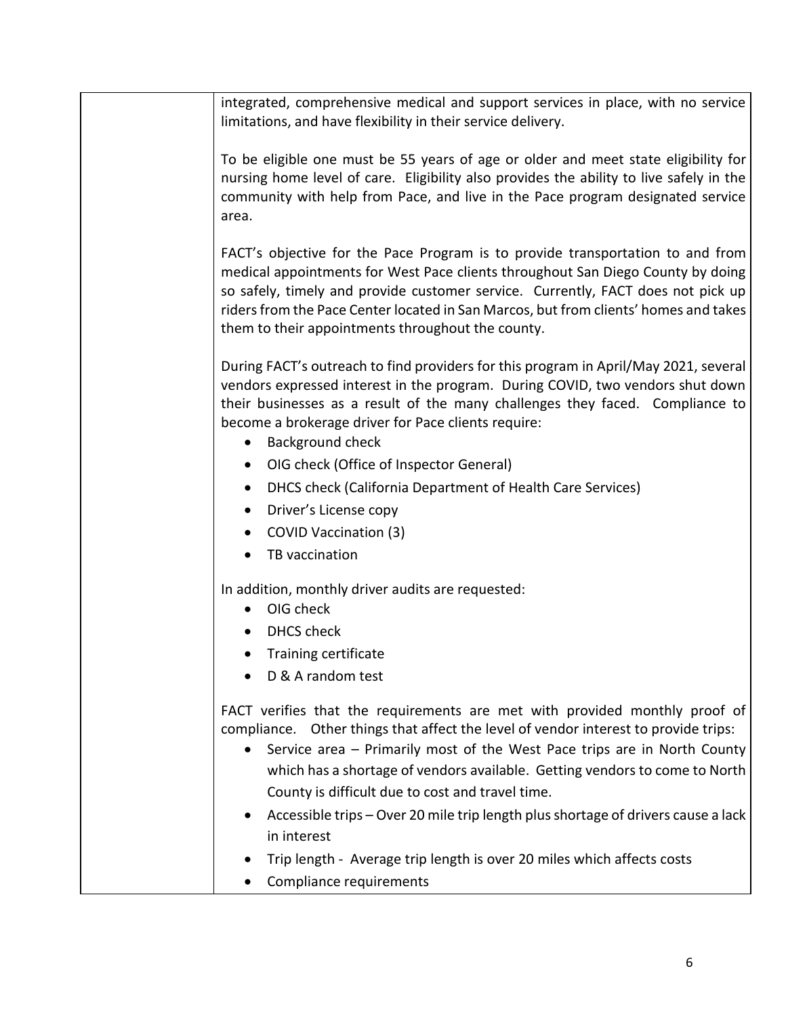| integrated, comprehensive medical and support services in place, with no service<br>limitations, and have flexibility in their service delivery.                                                                                                                                                                                                                                                                                                                                                                                                                                                                    |
|---------------------------------------------------------------------------------------------------------------------------------------------------------------------------------------------------------------------------------------------------------------------------------------------------------------------------------------------------------------------------------------------------------------------------------------------------------------------------------------------------------------------------------------------------------------------------------------------------------------------|
| To be eligible one must be 55 years of age or older and meet state eligibility for<br>nursing home level of care. Eligibility also provides the ability to live safely in the<br>community with help from Pace, and live in the Pace program designated service<br>area.                                                                                                                                                                                                                                                                                                                                            |
| FACT's objective for the Pace Program is to provide transportation to and from<br>medical appointments for West Pace clients throughout San Diego County by doing<br>so safely, timely and provide customer service. Currently, FACT does not pick up<br>riders from the Pace Center located in San Marcos, but from clients' homes and takes<br>them to their appointments throughout the county.                                                                                                                                                                                                                  |
| During FACT's outreach to find providers for this program in April/May 2021, several<br>vendors expressed interest in the program. During COVID, two vendors shut down<br>their businesses as a result of the many challenges they faced. Compliance to<br>become a brokerage driver for Pace clients require:<br>Background check<br>$\bullet$<br>OIG check (Office of Inspector General)<br>DHCS check (California Department of Health Care Services)<br>$\bullet$<br>Driver's License copy<br>$\bullet$<br>COVID Vaccination (3)<br>$\bullet$<br>TB vaccination                                                 |
| In addition, monthly driver audits are requested:<br>OIG check<br><b>DHCS</b> check<br>Training certificate<br>D & A random test                                                                                                                                                                                                                                                                                                                                                                                                                                                                                    |
| FACT verifies that the requirements are met with provided monthly proof of<br>compliance. Other things that affect the level of vendor interest to provide trips:<br>Service area - Primarily most of the West Pace trips are in North County<br>which has a shortage of vendors available. Getting vendors to come to North<br>County is difficult due to cost and travel time.<br>Accessible trips - Over 20 mile trip length plus shortage of drivers cause a lack<br>$\bullet$<br>in interest<br>Trip length - Average trip length is over 20 miles which affects costs<br>$\bullet$<br>Compliance requirements |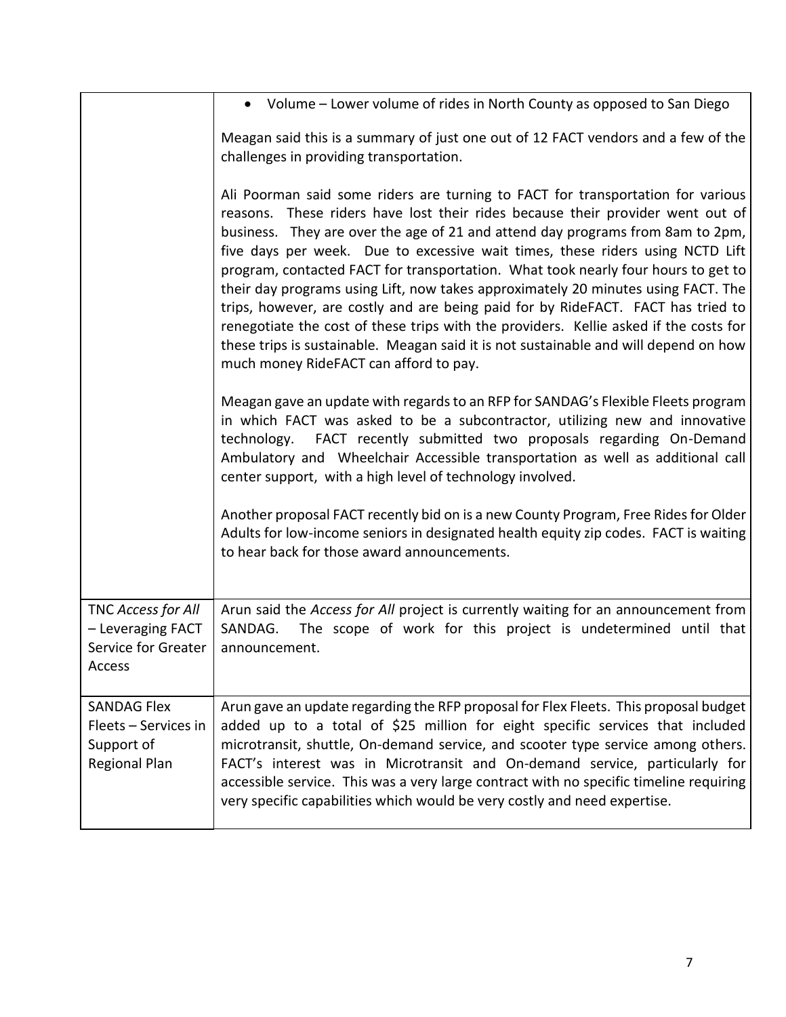|                                                                           | Volume – Lower volume of rides in North County as opposed to San Diego                                                                                                                                                                                                                                                                                                                                                                                                                                                                                                                                                                                                                                                                                                                                                        |
|---------------------------------------------------------------------------|-------------------------------------------------------------------------------------------------------------------------------------------------------------------------------------------------------------------------------------------------------------------------------------------------------------------------------------------------------------------------------------------------------------------------------------------------------------------------------------------------------------------------------------------------------------------------------------------------------------------------------------------------------------------------------------------------------------------------------------------------------------------------------------------------------------------------------|
|                                                                           | Meagan said this is a summary of just one out of 12 FACT vendors and a few of the<br>challenges in providing transportation.                                                                                                                                                                                                                                                                                                                                                                                                                                                                                                                                                                                                                                                                                                  |
|                                                                           | Ali Poorman said some riders are turning to FACT for transportation for various<br>reasons. These riders have lost their rides because their provider went out of<br>business. They are over the age of 21 and attend day programs from 8am to 2pm,<br>five days per week. Due to excessive wait times, these riders using NCTD Lift<br>program, contacted FACT for transportation. What took nearly four hours to get to<br>their day programs using Lift, now takes approximately 20 minutes using FACT. The<br>trips, however, are costly and are being paid for by RideFACT. FACT has tried to<br>renegotiate the cost of these trips with the providers. Kellie asked if the costs for<br>these trips is sustainable. Meagan said it is not sustainable and will depend on how<br>much money RideFACT can afford to pay. |
|                                                                           | Meagan gave an update with regards to an RFP for SANDAG's Flexible Fleets program<br>in which FACT was asked to be a subcontractor, utilizing new and innovative<br>technology. FACT recently submitted two proposals regarding On-Demand<br>Ambulatory and Wheelchair Accessible transportation as well as additional call<br>center support, with a high level of technology involved.                                                                                                                                                                                                                                                                                                                                                                                                                                      |
|                                                                           | Another proposal FACT recently bid on is a new County Program, Free Rides for Older<br>Adults for low-income seniors in designated health equity zip codes. FACT is waiting<br>to hear back for those award announcements.                                                                                                                                                                                                                                                                                                                                                                                                                                                                                                                                                                                                    |
| TNC Access for All<br>- Leveraging FACT<br>Service for Greater<br>Access  | Arun said the Access for All project is currently waiting for an announcement from<br>SANDAG.<br>The scope of work for this project is undetermined until that<br>announcement.                                                                                                                                                                                                                                                                                                                                                                                                                                                                                                                                                                                                                                               |
| <b>SANDAG Flex</b><br>Fleets - Services in<br>Support of<br>Regional Plan | Arun gave an update regarding the RFP proposal for Flex Fleets. This proposal budget<br>added up to a total of \$25 million for eight specific services that included<br>microtransit, shuttle, On-demand service, and scooter type service among others.<br>FACT's interest was in Microtransit and On-demand service, particularly for<br>accessible service. This was a very large contract with no specific timeline requiring<br>very specific capabilities which would be very costly and need expertise.                                                                                                                                                                                                                                                                                                               |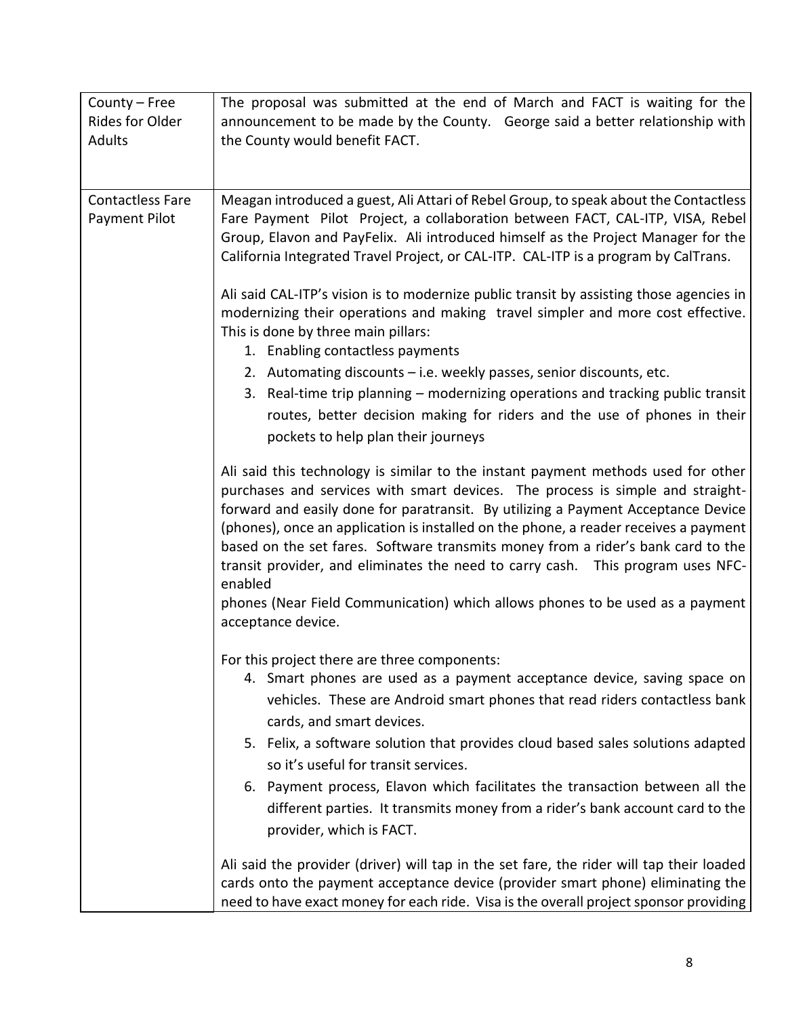| County - Free<br>Rides for Older<br>Adults | The proposal was submitted at the end of March and FACT is waiting for the<br>announcement to be made by the County. George said a better relationship with<br>the County would benefit FACT.                                                                                                                                                                                                                                                                                                                                                                                                                                                                                                                                                                                                                                                                                                                                                                                                                                                                                                                                                                                                                                                                                                                                                                                                                                                                                                                                                                                                                                                                                                                                                                                                                                                                                                                                                                                            |
|--------------------------------------------|------------------------------------------------------------------------------------------------------------------------------------------------------------------------------------------------------------------------------------------------------------------------------------------------------------------------------------------------------------------------------------------------------------------------------------------------------------------------------------------------------------------------------------------------------------------------------------------------------------------------------------------------------------------------------------------------------------------------------------------------------------------------------------------------------------------------------------------------------------------------------------------------------------------------------------------------------------------------------------------------------------------------------------------------------------------------------------------------------------------------------------------------------------------------------------------------------------------------------------------------------------------------------------------------------------------------------------------------------------------------------------------------------------------------------------------------------------------------------------------------------------------------------------------------------------------------------------------------------------------------------------------------------------------------------------------------------------------------------------------------------------------------------------------------------------------------------------------------------------------------------------------------------------------------------------------------------------------------------------------|
| <b>Contactless Fare</b><br>Payment Pilot   | Meagan introduced a guest, Ali Attari of Rebel Group, to speak about the Contactless<br>Fare Payment Pilot Project, a collaboration between FACT, CAL-ITP, VISA, Rebel<br>Group, Elavon and PayFelix. Ali introduced himself as the Project Manager for the<br>California Integrated Travel Project, or CAL-ITP. CAL-ITP is a program by CalTrans.<br>Ali said CAL-ITP's vision is to modernize public transit by assisting those agencies in<br>modernizing their operations and making travel simpler and more cost effective.<br>This is done by three main pillars:<br>1. Enabling contactless payments<br>2. Automating discounts – i.e. weekly passes, senior discounts, etc.<br>3. Real-time trip planning – modernizing operations and tracking public transit<br>routes, better decision making for riders and the use of phones in their<br>pockets to help plan their journeys<br>Ali said this technology is similar to the instant payment methods used for other<br>purchases and services with smart devices. The process is simple and straight-<br>forward and easily done for paratransit. By utilizing a Payment Acceptance Device<br>(phones), once an application is installed on the phone, a reader receives a payment<br>based on the set fares. Software transmits money from a rider's bank card to the<br>transit provider, and eliminates the need to carry cash. This program uses NFC-<br>enabled<br>phones (Near Field Communication) which allows phones to be used as a payment<br>acceptance device.<br>For this project there are three components:<br>4. Smart phones are used as a payment acceptance device, saving space on<br>vehicles. These are Android smart phones that read riders contactless bank<br>cards, and smart devices.<br>5. Felix, a software solution that provides cloud based sales solutions adapted<br>so it's useful for transit services.<br>6. Payment process, Elavon which facilitates the transaction between all the |
|                                            | different parties. It transmits money from a rider's bank account card to the<br>provider, which is FACT.<br>Ali said the provider (driver) will tap in the set fare, the rider will tap their loaded<br>cards onto the payment acceptance device (provider smart phone) eliminating the                                                                                                                                                                                                                                                                                                                                                                                                                                                                                                                                                                                                                                                                                                                                                                                                                                                                                                                                                                                                                                                                                                                                                                                                                                                                                                                                                                                                                                                                                                                                                                                                                                                                                                 |
|                                            | need to have exact money for each ride. Visa is the overall project sponsor providing                                                                                                                                                                                                                                                                                                                                                                                                                                                                                                                                                                                                                                                                                                                                                                                                                                                                                                                                                                                                                                                                                                                                                                                                                                                                                                                                                                                                                                                                                                                                                                                                                                                                                                                                                                                                                                                                                                    |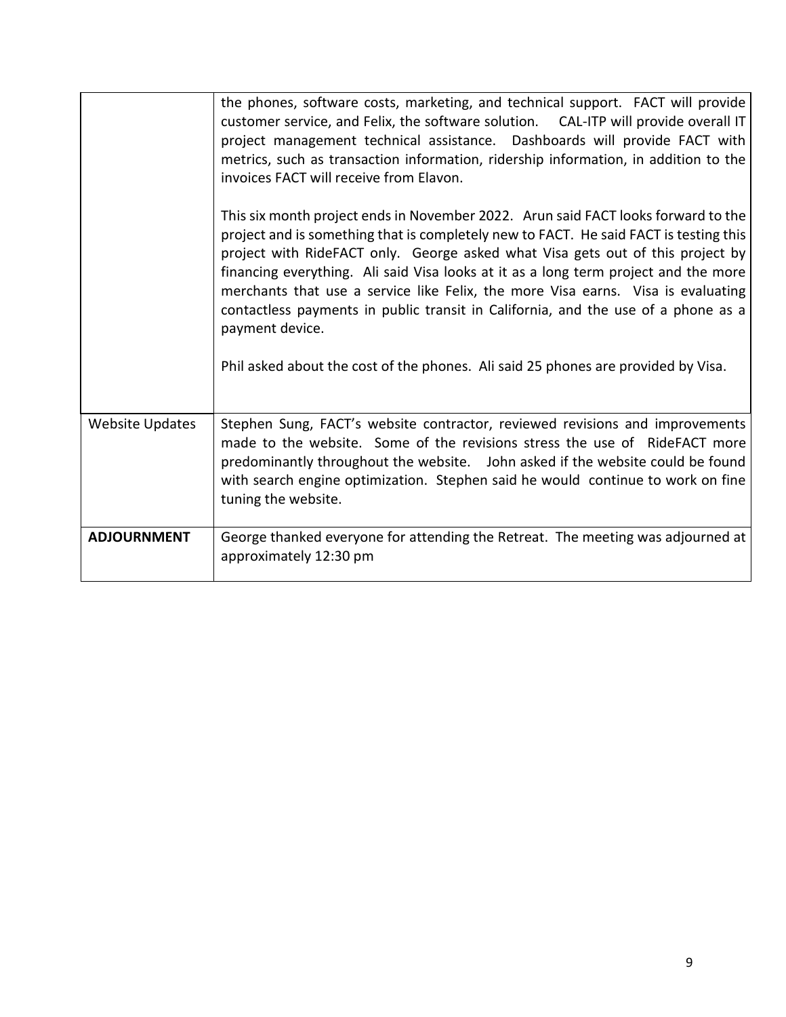|                        | the phones, software costs, marketing, and technical support. FACT will provide<br>customer service, and Felix, the software solution. CAL-ITP will provide overall IT<br>project management technical assistance. Dashboards will provide FACT with<br>metrics, such as transaction information, ridership information, in addition to the<br>invoices FACT will receive from Elavon.                                                                                                                                                                                                                                               |
|------------------------|--------------------------------------------------------------------------------------------------------------------------------------------------------------------------------------------------------------------------------------------------------------------------------------------------------------------------------------------------------------------------------------------------------------------------------------------------------------------------------------------------------------------------------------------------------------------------------------------------------------------------------------|
|                        | This six month project ends in November 2022. Arun said FACT looks forward to the<br>project and is something that is completely new to FACT. He said FACT is testing this<br>project with RideFACT only. George asked what Visa gets out of this project by<br>financing everything. Ali said Visa looks at it as a long term project and the more<br>merchants that use a service like Felix, the more Visa earns. Visa is evaluating<br>contactless payments in public transit in California, and the use of a phone as a<br>payment device.<br>Phil asked about the cost of the phones. Ali said 25 phones are provided by Visa. |
| <b>Website Updates</b> | Stephen Sung, FACT's website contractor, reviewed revisions and improvements<br>made to the website. Some of the revisions stress the use of RideFACT more<br>predominantly throughout the website.  John asked if the website could be found<br>with search engine optimization. Stephen said he would continue to work on fine<br>tuning the website.                                                                                                                                                                                                                                                                              |
| <b>ADJOURNMENT</b>     | George thanked everyone for attending the Retreat. The meeting was adjourned at<br>approximately 12:30 pm                                                                                                                                                                                                                                                                                                                                                                                                                                                                                                                            |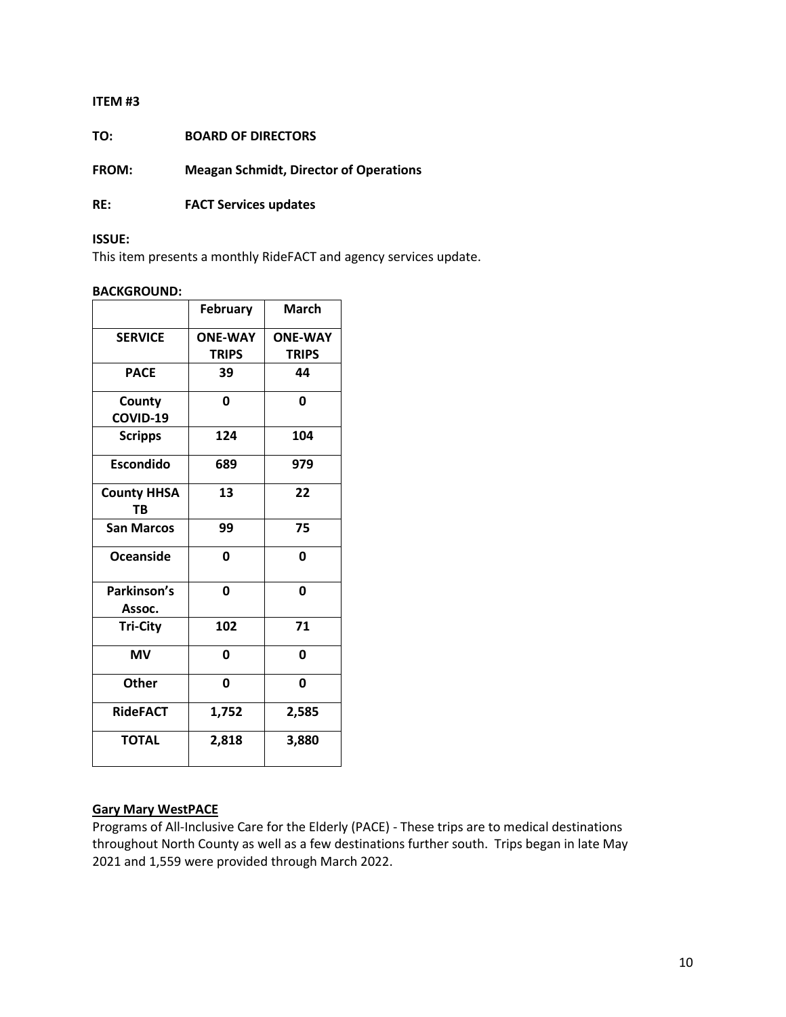**TO: BOARD OF DIRECTORS**

**FROM: Meagan Schmidt, Director of Operations**

**RE: FACT Services updates** 

### **ISSUE:**

This item presents a monthly RideFACT and agency services update.

## **BACKGROUND:**

|                                 | <b>February</b> | March          |
|---------------------------------|-----------------|----------------|
| <b>SERVICE</b>                  | <b>ONE-WAY</b>  | <b>ONE-WAY</b> |
|                                 | <b>TRIPS</b>    | <b>TRIPS</b>   |
| <b>PACE</b>                     | 39              | 44             |
| County                          | 0               | 0              |
| COVID-19                        |                 |                |
| <b>Scripps</b>                  | 124             | 104            |
| <b>Escondido</b>                | 689             | 979            |
| <b>County HHSA</b><br><b>TB</b> | 13              | 22             |
| <b>San Marcos</b>               | 99              | 75             |
| Oceanside                       | 0               | 0              |
| Parkinson's<br>Assoc.           | 0               | 0              |
| <b>Tri-City</b>                 | 102             | 71             |
| <b>MV</b>                       | 0               | 0              |
| <b>Other</b>                    | 0               | 0              |
| <b>RideFACT</b>                 | 1,752           | 2,585          |
| <b>TOTAL</b>                    | 2,818           | 3,880          |

## **Gary Mary WestPACE**

Programs of All-Inclusive Care for the Elderly (PACE) - These trips are to medical destinations throughout North County as well as a few destinations further south. Trips began in late May 2021 and 1,559 were provided through March 2022.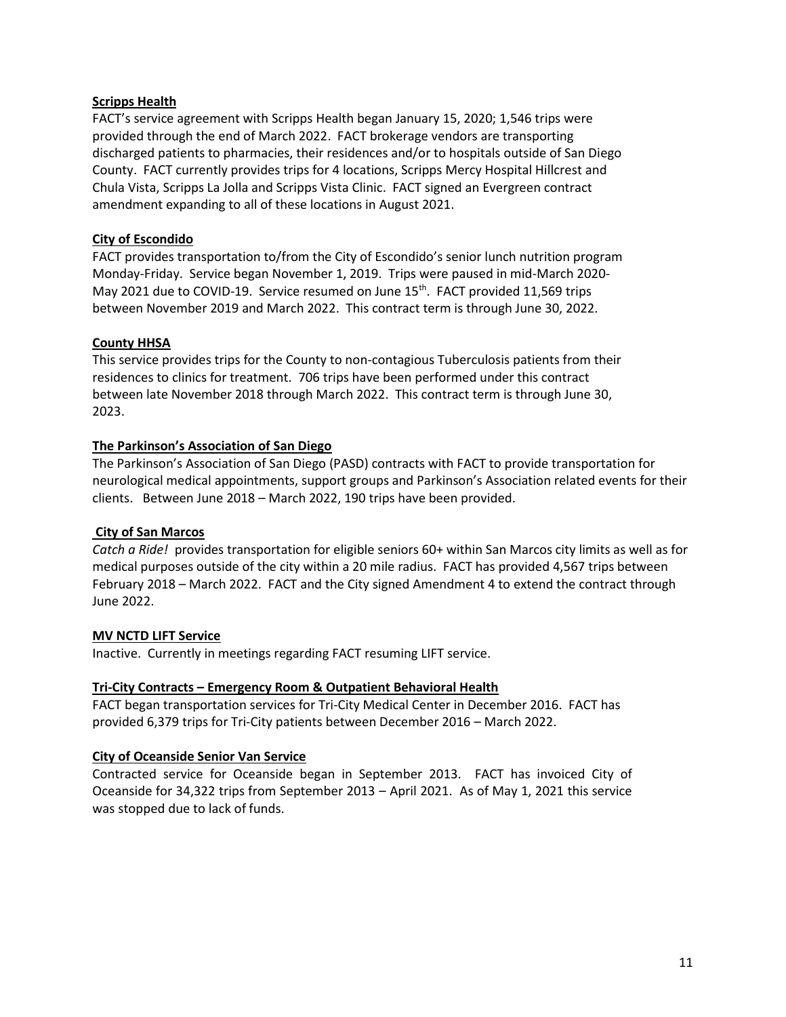## **Scripps Health**

FACT's service agreement with Scripps Health began January 15, 2020; 1,546 trips were provided through the end of March 2022. FACT brokerage vendors are transporting discharged patients to pharmacies, their residences and/or to hospitals outside of San Diego County. FACT currently provides trips for 4 locations, Scripps Mercy Hospital Hillcrest and Chula Vista, Scripps La Jolla and Scripps Vista Clinic. FACT signed an Evergreen contract amendment expanding to all of these locations in August 2021.

## **City of Escondido**

FACT provides transportation to/from the City of Escondido's senior lunch nutrition program Monday-Friday. Service began November 1, 2019. Trips were paused in mid-March 2020- May 2021 due to COVID-19. Service resumed on June  $15<sup>th</sup>$ . FACT provided 11,569 trips between November 2019 and March 2022. This contract term is through June 30, 2022.

## **County HHSA**

This service provides trips for the County to non-contagious Tuberculosis patients from their residences to clinics for treatment. 706 trips have been performed under this contract between late November 2018 through March 2022. This contract term is through June 30, 2023.

## **The Parkinson's Association of San Diego**

The Parkinson's Association of San Diego (PASD) contracts with FACT to provide transportation for neurological medical appointments, support groups and Parkinson's Association related events for their clients. Between June 2018 – March 2022, 190 trips have been provided.

## **City of San Marcos**

*Catch a Ride!* provides transportation for eligible seniors 60+ within San Marcos city limits as well as for medical purposes outside of the city within a 20 mile radius. FACT has provided 4,567 trips between February 2018 – March 2022. FACT and the City signed Amendment 4 to extend the contract through June 2022.

## **MV NCTD LIFT Service**

Inactive. Currently in meetings regarding FACT resuming LIFT service.

## **Tri-City Contracts – Emergency Room & Outpatient Behavioral Health**

FACT began transportation services for Tri-City Medical Center in December 2016. FACT has provided 6,379 trips for Tri-City patients between December 2016 – March 2022.

## **City of Oceanside Senior Van Service**

Contracted service for Oceanside began in September 2013. FACT has invoiced City of Oceanside for 34,322 trips from September 2013 – April 2021. As of May 1, 2021 this service was stopped due to lack of funds.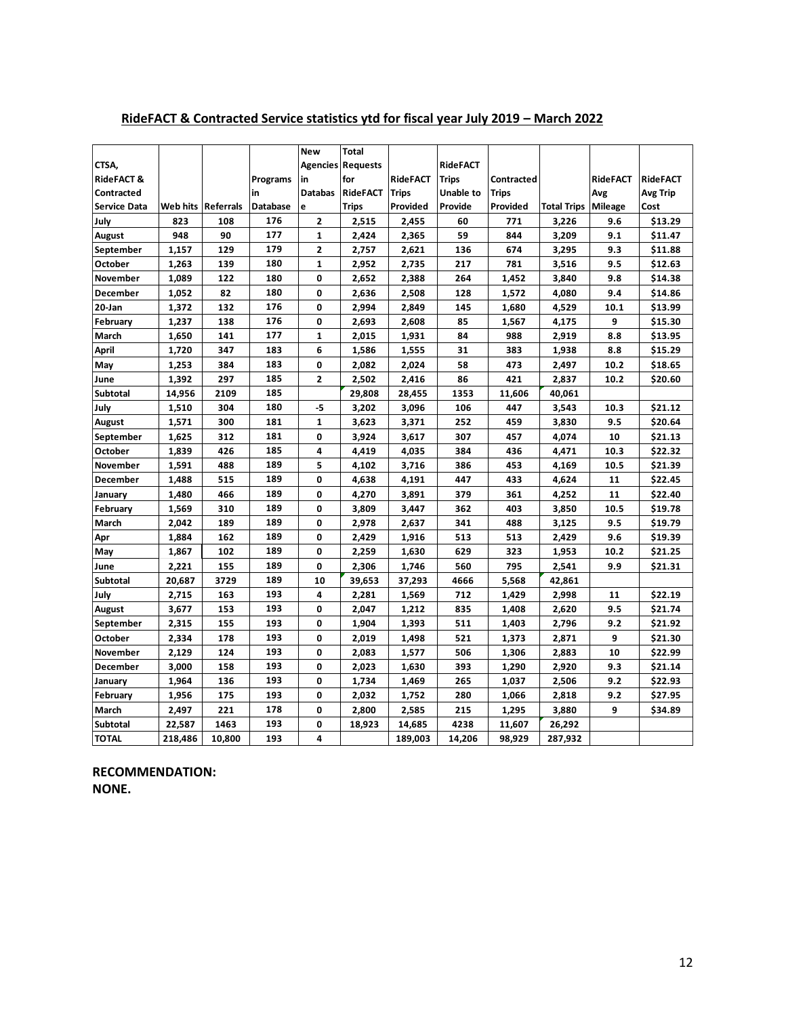|                       |         |                           |          | <b>New</b>              | <b>Total</b>             |                 |                 |              |                    |                 |                 |
|-----------------------|---------|---------------------------|----------|-------------------------|--------------------------|-----------------|-----------------|--------------|--------------------|-----------------|-----------------|
| CTSA,                 |         |                           |          |                         | <b>Agencies Requests</b> |                 | <b>RideFACT</b> |              |                    |                 |                 |
| <b>RideFACT &amp;</b> |         |                           | Programs | in                      | for                      | <b>RideFACT</b> | <b>Trips</b>    | Contracted   |                    | <b>RideFACT</b> | <b>RideFACT</b> |
| Contracted            |         |                           | in       | <b>Databas</b>          | <b>RideFACT</b>          | <b>Trips</b>    | Unable to       | <b>Trips</b> |                    | Avg             | Avg Trip        |
| <b>Service Data</b>   |         | <b>Web hits Referrals</b> | Database | e                       | <b>Trips</b>             | Provided        | Provide         | Provided     | <b>Total Trips</b> | <b>Mileage</b>  | Cost            |
| July                  | 823     | 108                       | 176      | $\mathbf{2}$            | 2,515                    | 2,455           | 60              | 771          | 3,226              | 9.6             | \$13.29         |
| August                | 948     | 90                        | 177      | 1                       | 2,424                    | 2,365           | 59              | 844          | 3,209              | 9.1             | \$11.47         |
| September             | 1,157   | 129                       | 179      | $\overline{\mathbf{c}}$ | 2,757                    | 2,621           | 136             | 674          | 3,295              | 9.3             | \$11.88         |
| October               | 1,263   | 139                       | 180      | $\mathbf{1}$            | 2,952                    | 2,735           | 217             | 781          | 3,516              | 9.5             | \$12.63         |
| November              | 1,089   | 122                       | 180      | 0                       | 2,652                    | 2,388           | 264             | 1,452        | 3,840              | 9.8             | \$14.38         |
| December              | 1,052   | 82                        | 180      | 0                       | 2,636                    | 2,508           | 128             | 1,572        | 4,080              | 9.4             | \$14.86         |
| 20-Jan                | 1,372   | 132                       | 176      | 0                       | 2,994                    | 2,849           | 145             | 1,680        | 4,529              | 10.1            | \$13.99         |
| February              | 1,237   | 138                       | 176      | 0                       | 2,693                    | 2,608           | 85              | 1,567        | 4,175              | 9               | \$15.30         |
| March                 | 1,650   | 141                       | 177      | $\mathbf{1}$            | 2,015                    | 1,931           | 84              | 988          | 2,919              | 8.8             | \$13.95         |
| April                 | 1,720   | 347                       | 183      | 6                       | 1,586                    | 1,555           | 31              | 383          | 1,938              | 8.8             | \$15.29         |
| May                   | 1,253   | 384                       | 183      | 0                       | 2,082                    | 2,024           | 58              | 473          | 2,497              | 10.2            | \$18.65         |
| June                  | 1,392   | 297                       | 185      | $\overline{\mathbf{2}}$ | 2,502                    | 2,416           | 86              | 421          | 2,837              | 10.2            | \$20.60         |
| Subtotal              | 14,956  | 2109                      | 185      |                         | 29,808                   | 28,455          | 1353            | 11,606       | 40,061             |                 |                 |
| July                  | 1,510   | 304                       | 180      | -5                      | 3,202                    | 3,096           | 106             | 447          | 3,543              | 10.3            | \$21.12         |
| <b>August</b>         | 1,571   | 300                       | 181      | $\mathbf{1}$            | 3,623                    | 3,371           | 252             | 459          | 3,830              | 9.5             | \$20.64         |
| September             | 1,625   | 312                       | 181      | 0                       | 3,924                    | 3,617           | 307             | 457          | 4,074              | 10              | \$21.13         |
| <b>October</b>        | 1,839   | 426                       | 185      | 4                       | 4,419                    | 4,035           | 384             | 436          | 4,471              | 10.3            | \$22.32         |
| November              | 1,591   | 488                       | 189      | 5                       | 4,102                    | 3,716           | 386             | 453          | 4,169              | 10.5            | \$21.39         |
| December              | 1,488   | 515                       | 189      | $\mathbf 0$             | 4,638                    | 4,191           | 447             | 433          | 4,624              | 11              | \$22.45         |
| January               | 1,480   | 466                       | 189      | $\mathbf 0$             | 4,270                    | 3,891           | 379             | 361          | 4,252              | 11              | \$22.40         |
| February              | 1,569   | 310                       | 189      | 0                       | 3,809                    | 3,447           | 362             | 403          | 3,850              | 10.5            | \$19.78         |
| March                 | 2,042   | 189                       | 189      | 0                       | 2,978                    | 2,637           | 341             | 488          | 3,125              | 9.5             | \$19.79         |
| Apr                   | 1,884   | 162                       | 189      | 0                       | 2,429                    | 1,916           | 513             | 513          | 2,429              | 9.6             | \$19.39         |
| May                   | 1,867   | 102                       | 189      | 0                       | 2,259                    | 1,630           | 629             | 323          | 1,953              | 10.2            | \$21.25         |
| June                  | 2,221   | 155                       | 189      | 0                       | 2,306                    | 1,746           | 560             | 795          | 2,541              | 9.9             | \$21.31         |
| Subtotal              | 20,687  | 3729                      | 189      | 10                      | 39,653                   | 37,293          | 4666            | 5,568        | 42,861             |                 |                 |
| July                  | 2,715   | 163                       | 193      | 4                       | 2,281                    | 1,569           | 712             | 1,429        | 2,998              | 11              | \$22.19         |
| <b>August</b>         | 3,677   | 153                       | 193      | $\mathbf 0$             | 2,047                    | 1,212           | 835             | 1,408        | 2,620              | 9.5             | \$21.74         |
| September             | 2,315   | 155                       | 193      | 0                       | 1,904                    | 1,393           | 511             | 1,403        | 2,796              | 9.2             | \$21.92         |
| October               | 2,334   | 178                       | 193      | 0                       | 2,019                    | 1,498           | 521             | 1,373        | 2,871              | 9               | \$21.30         |
| <b>November</b>       | 2,129   | 124                       | 193      | 0                       | 2,083                    | 1,577           | 506             | 1,306        | 2,883              | 10              | \$22.99         |
| December              | 3,000   | 158                       | 193      | 0                       | 2,023                    | 1,630           | 393             | 1,290        | 2,920              | 9.3             | \$21.14         |
| January               | 1,964   | 136                       | 193      | $\mathbf 0$             | 1,734                    | 1,469           | 265             | 1,037        | 2,506              | 9.2             | \$22.93         |
| February              | 1,956   | 175                       | 193      | 0                       | 2,032                    | 1,752           | 280             | 1,066        | 2,818              | 9.2             | \$27.95         |
| March                 | 2,497   | 221                       | 178      | 0                       | 2,800                    | 2,585           | 215             | 1,295        | 3,880              | 9               | \$34.89         |
| Subtotal              | 22,587  | 1463                      | 193      | 0                       | 18,923                   | 14,685          | 4238            | 11,607       | 26,292             |                 |                 |
| <b>TOTAL</b>          | 218,486 | 10.800                    | 193      | 4                       |                          | 189,003         | 14,206          | 98,929       | 287,932            |                 |                 |

## **RideFACT & Contracted Service statistics ytd for fiscal year July 2019 – March 2022**

**RECOMMENDATION: NONE.**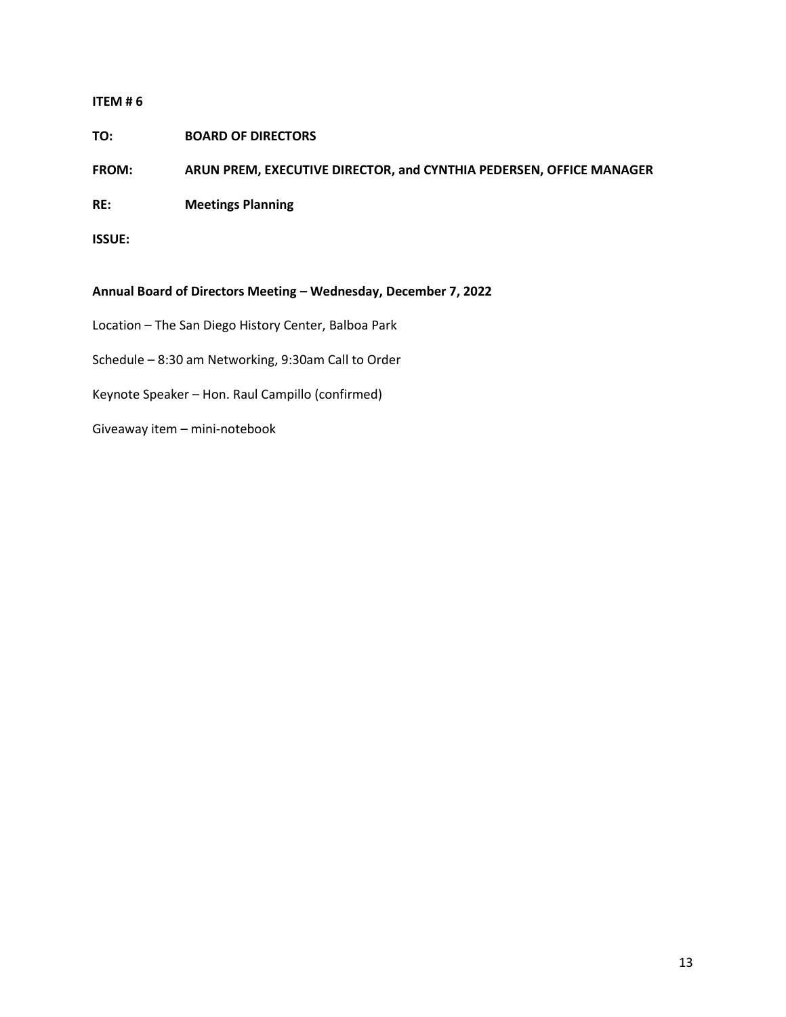## **TO: BOARD OF DIRECTORS**

**FROM: ARUN PREM, EXECUTIVE DIRECTOR, and CYNTHIA PEDERSEN, OFFICE MANAGER**

**RE: Meetings Planning**

**ISSUE:**

## **Annual Board of Directors Meeting – Wednesday, December 7, 2022**

- Location The San Diego History Center, Balboa Park
- Schedule 8:30 am Networking, 9:30am Call to Order
- Keynote Speaker Hon. Raul Campillo (confirmed)
- Giveaway item mini-notebook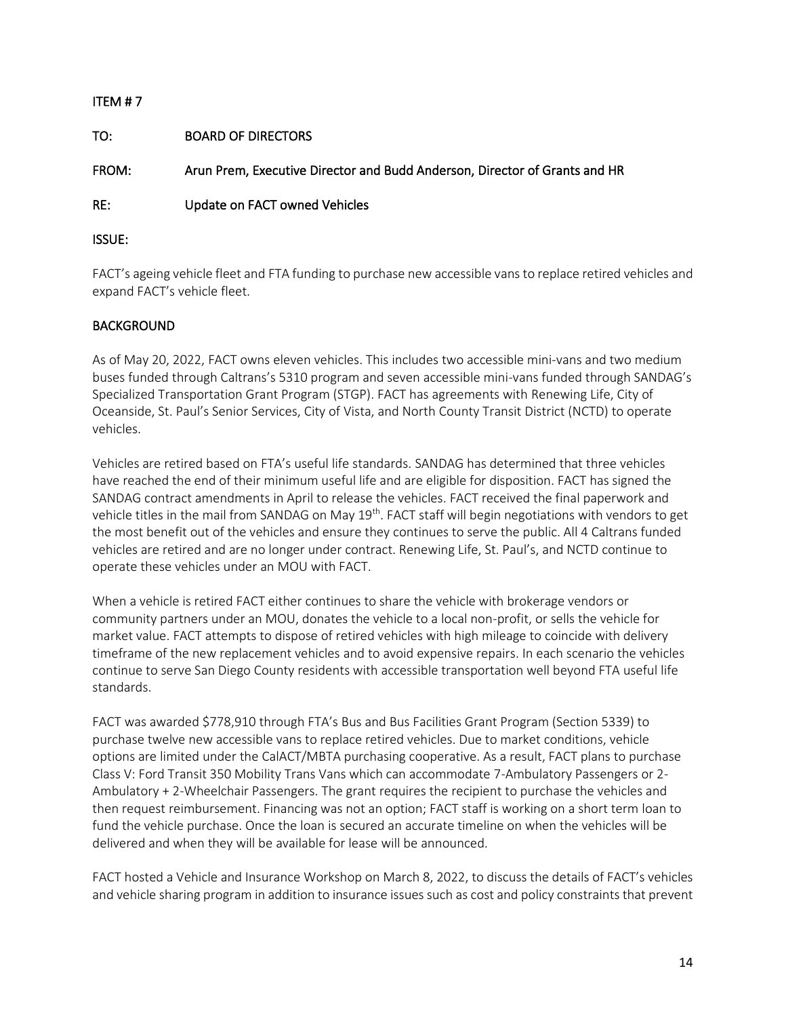# ITEM # 7 TO: BOARD OF DIRECTORS FROM: Arun Prem, Executive Director and Budd Anderson, Director of Grants and HR RE: Update on FACT owned Vehicles ISSUE:

FACT's ageing vehicle fleet and FTA funding to purchase new accessible vans to replace retired vehicles and expand FACT's vehicle fleet.

## BACKGROUND

As of May 20, 2022, FACT owns eleven vehicles. This includes two accessible mini-vans and two medium buses funded through Caltrans's 5310 program and seven accessible mini-vans funded through SANDAG's Specialized Transportation Grant Program (STGP). FACT has agreements with Renewing Life, City of Oceanside, St. Paul's Senior Services, City of Vista, and North County Transit District (NCTD) to operate vehicles.

Vehicles are retired based on FTA's useful life standards. SANDAG has determined that three vehicles have reached the end of their minimum useful life and are eligible for disposition. FACT has signed the SANDAG contract amendments in April to release the vehicles. FACT received the final paperwork and vehicle titles in the mail from SANDAG on May 19<sup>th</sup>. FACT staff will begin negotiations with vendors to get the most benefit out of the vehicles and ensure they continues to serve the public. All 4 Caltrans funded vehicles are retired and are no longer under contract. Renewing Life, St. Paul's, and NCTD continue to operate these vehicles under an MOU with FACT.

When a vehicle is retired FACT either continues to share the vehicle with brokerage vendors or community partners under an MOU, donates the vehicle to a local non-profit, or sells the vehicle for market value. FACT attempts to dispose of retired vehicles with high mileage to coincide with delivery timeframe of the new replacement vehicles and to avoid expensive repairs. In each scenario the vehicles continue to serve San Diego County residents with accessible transportation well beyond FTA useful life standards.

FACT was awarded \$778,910 through FTA's Bus and Bus Facilities Grant Program (Section 5339) to purchase twelve new accessible vans to replace retired vehicles. Due to market conditions, vehicle options are limited under the CalACT/MBTA purchasing cooperative. As a result, FACT plans to purchase Class V: Ford Transit 350 Mobility Trans Vans which can accommodate 7-Ambulatory Passengers or 2- Ambulatory + 2-Wheelchair Passengers. The grant requires the recipient to purchase the vehicles and then request reimbursement. Financing was not an option; FACT staff is working on a short term loan to fund the vehicle purchase. Once the loan is secured an accurate timeline on when the vehicles will be delivered and when they will be available for lease will be announced.

FACT hosted a Vehicle and Insurance Workshop on March 8, 2022, to discuss the details of FACT's vehicles and vehicle sharing program in addition to insurance issues such as cost and policy constraints that prevent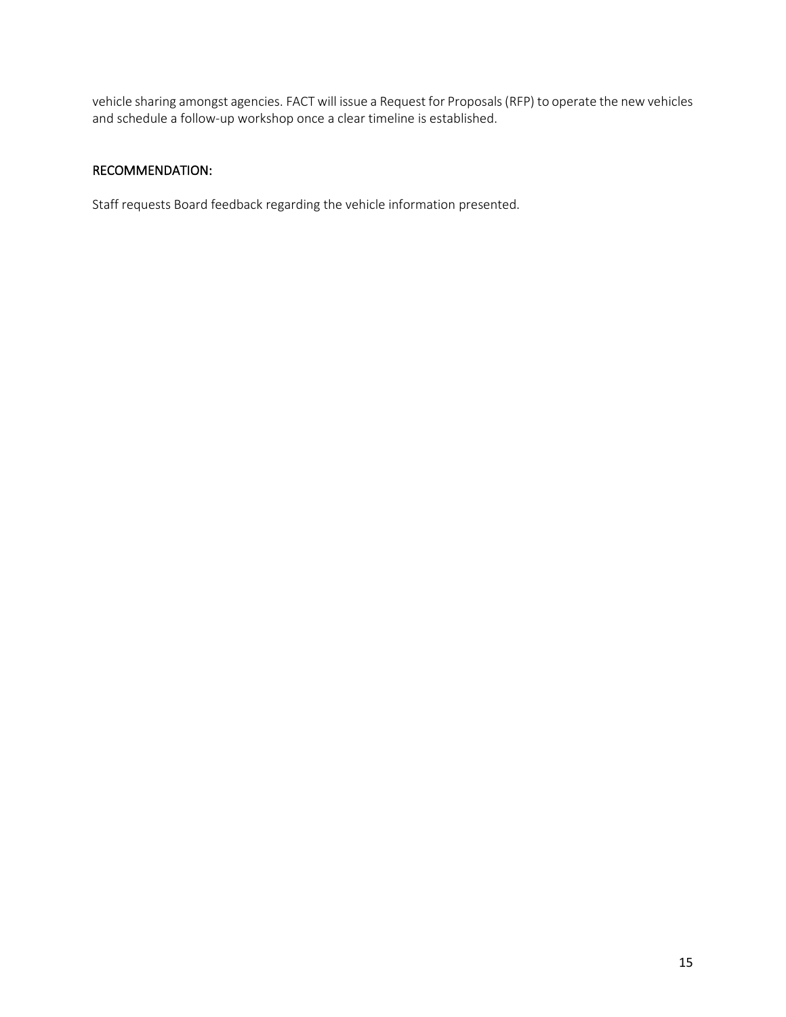vehicle sharing amongst agencies. FACT will issue a Request for Proposals (RFP) to operate the new vehicles and schedule a follow-up workshop once a clear timeline is established.

## RECOMMENDATION:

Staff requests Board feedback regarding the vehicle information presented.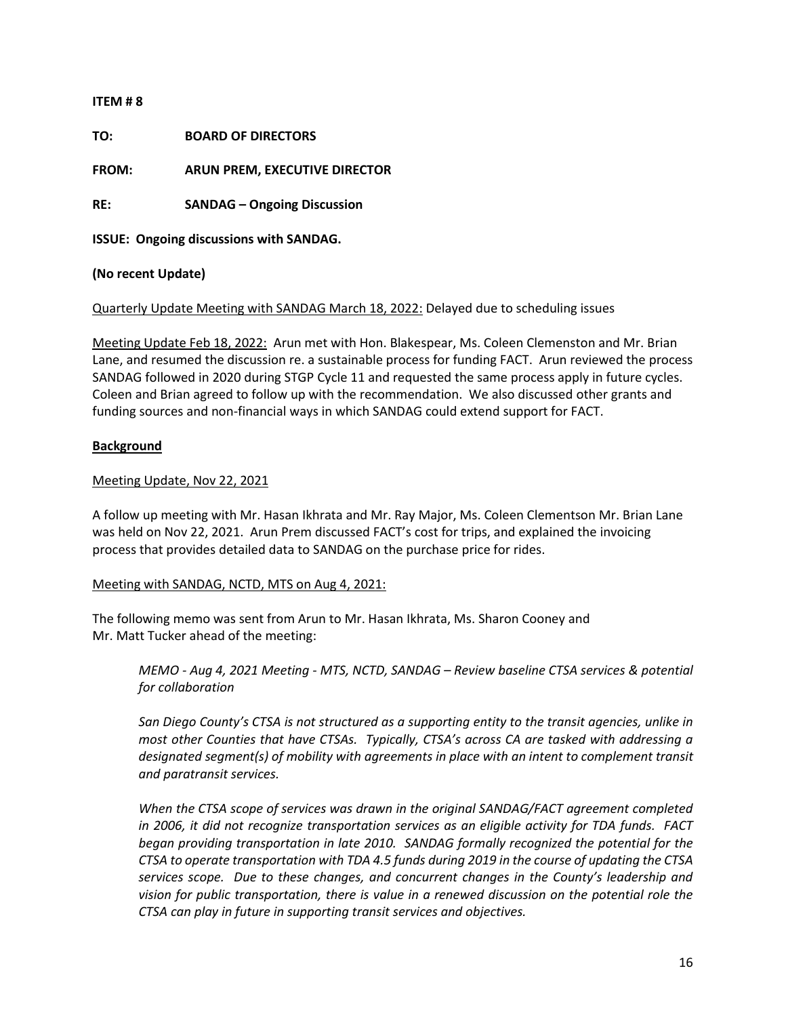**TO: BOARD OF DIRECTORS**

**FROM: ARUN PREM, EXECUTIVE DIRECTOR** 

**RE: SANDAG – Ongoing Discussion**

**ISSUE: Ongoing discussions with SANDAG.**

**(No recent Update)**

Quarterly Update Meeting with SANDAG March 18, 2022: Delayed due to scheduling issues

Meeting Update Feb 18, 2022: Arun met with Hon. Blakespear, Ms. Coleen Clemenston and Mr. Brian Lane, and resumed the discussion re. a sustainable process for funding FACT. Arun reviewed the process SANDAG followed in 2020 during STGP Cycle 11 and requested the same process apply in future cycles. Coleen and Brian agreed to follow up with the recommendation. We also discussed other grants and funding sources and non-financial ways in which SANDAG could extend support for FACT.

## **Background**

### Meeting Update, Nov 22, 2021

A follow up meeting with Mr. Hasan Ikhrata and Mr. Ray Major, Ms. Coleen Clementson Mr. Brian Lane was held on Nov 22, 2021. Arun Prem discussed FACT's cost for trips, and explained the invoicing process that provides detailed data to SANDAG on the purchase price for rides.

## Meeting with SANDAG, NCTD, MTS on Aug 4, 2021:

The following memo was sent from Arun to Mr. Hasan Ikhrata, Ms. Sharon Cooney and Mr. Matt Tucker ahead of the meeting:

*MEMO - Aug 4, 2021 Meeting - MTS, NCTD, SANDAG – Review baseline CTSA services & potential for collaboration* 

*San Diego County's CTSA is not structured as a supporting entity to the transit agencies, unlike in most other Counties that have CTSAs. Typically, CTSA's across CA are tasked with addressing a designated segment(s) of mobility with agreements in place with an intent to complement transit and paratransit services.*

*When the CTSA scope of services was drawn in the original SANDAG/FACT agreement completed in 2006, it did not recognize transportation services as an eligible activity for TDA funds. FACT began providing transportation in late 2010. SANDAG formally recognized the potential for the CTSA to operate transportation with TDA 4.5 funds during 2019 in the course of updating the CTSA services scope. Due to these changes, and concurrent changes in the County's leadership and vision for public transportation, there is value in a renewed discussion on the potential role the CTSA can play in future in supporting transit services and objectives.*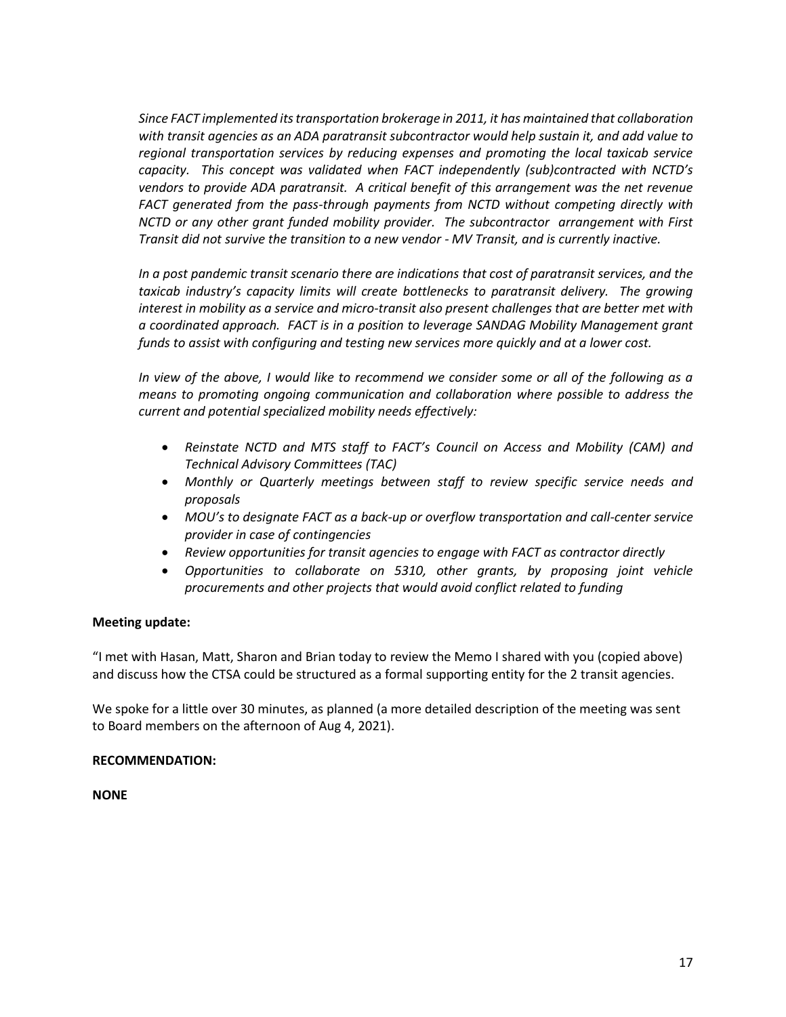*Since FACT implemented its transportation brokerage in 2011, it has maintained that collaboration with transit agencies as an ADA paratransit subcontractor would help sustain it, and add value to regional transportation services by reducing expenses and promoting the local taxicab service capacity. This concept was validated when FACT independently (sub)contracted with NCTD's vendors to provide ADA paratransit. A critical benefit of this arrangement was the net revenue FACT generated from the pass-through payments from NCTD without competing directly with NCTD or any other grant funded mobility provider. The subcontractor arrangement with First Transit did not survive the transition to a new vendor - MV Transit, and is currently inactive.*

*In a post pandemic transit scenario there are indications that cost of paratransit services, and the*  taxicab industry's capacity limits will create bottlenecks to paratransit delivery. The growing *interest in mobility as a service and micro-transit also present challenges that are better met with a coordinated approach. FACT is in a position to leverage SANDAG Mobility Management grant funds to assist with configuring and testing new services more quickly and at a lower cost.*

*In view of the above, I would like to recommend we consider some or all of the following as a means to promoting ongoing communication and collaboration where possible to address the current and potential specialized mobility needs effectively:*

- *Reinstate NCTD and MTS staff to FACT's Council on Access and Mobility (CAM) and Technical Advisory Committees (TAC)*
- *Monthly or Quarterly meetings between staff to review specific service needs and proposals*
- *MOU's to designate FACT as a back-up or overflow transportation and call-center service provider in case of contingencies*
- *Review opportunities for transit agencies to engage with FACT as contractor directly*
- *Opportunities to collaborate on 5310, other grants, by proposing joint vehicle procurements and other projects that would avoid conflict related to funding*

## **Meeting update:**

"I met with Hasan, Matt, Sharon and Brian today to review the Memo I shared with you (copied above) and discuss how the CTSA could be structured as a formal supporting entity for the 2 transit agencies.

We spoke for a little over 30 minutes, as planned (a more detailed description of the meeting was sent to Board members on the afternoon of Aug 4, 2021).

## **RECOMMENDATION:**

**NONE**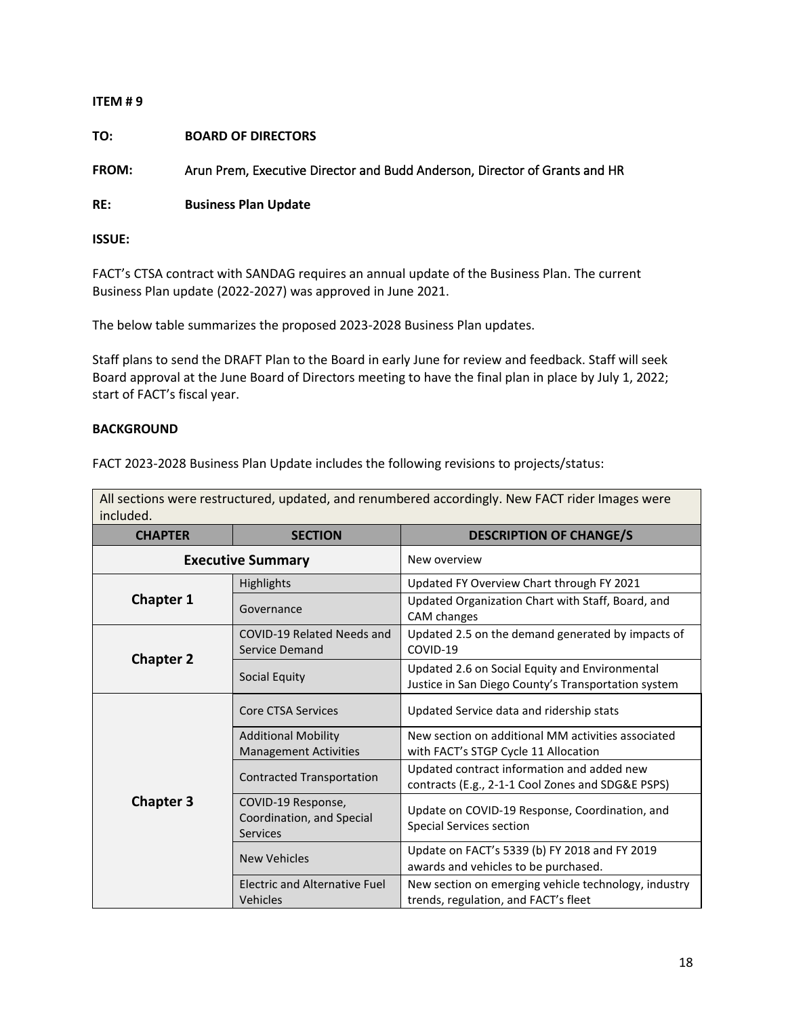# **ITEM # 9 TO: BOARD OF DIRECTORS FROM:** Arun Prem, Executive Director and Budd Anderson, Director of Grants and HR **RE: Business Plan Update**

**ISSUE:**

FACT's CTSA contract with SANDAG requires an annual update of the Business Plan. The current Business Plan update (2022-2027) was approved in June 2021.

The below table summarizes the proposed 2023-2028 Business Plan updates.

Staff plans to send the DRAFT Plan to the Board in early June for review and feedback. Staff will seek Board approval at the June Board of Directors meeting to have the final plan in place by July 1, 2022; start of FACT's fiscal year.

## **BACKGROUND**

FACT 2023-2028 Business Plan Update includes the following revisions to projects/status:

All sections were restructured, updated, and renumbered accordingly. New FACT rider Images were included.

| <b>CHAPTER</b>   | <b>SECTION</b>                                              | <b>DESCRIPTION OF CHANGE/S</b>                                                                        |  |  |
|------------------|-------------------------------------------------------------|-------------------------------------------------------------------------------------------------------|--|--|
|                  | <b>Executive Summary</b>                                    | New overview                                                                                          |  |  |
|                  | <b>Highlights</b>                                           | Updated FY Overview Chart through FY 2021                                                             |  |  |
| <b>Chapter 1</b> | Governance                                                  | Updated Organization Chart with Staff, Board, and<br>CAM changes                                      |  |  |
|                  | COVID-19 Related Needs and<br>Service Demand                | Updated 2.5 on the demand generated by impacts of<br>COVID-19                                         |  |  |
| <b>Chapter 2</b> | Social Equity                                               | Updated 2.6 on Social Equity and Environmental<br>Justice in San Diego County's Transportation system |  |  |
|                  | <b>Core CTSA Services</b>                                   | Updated Service data and ridership stats                                                              |  |  |
|                  | <b>Additional Mobility</b><br><b>Management Activities</b>  | New section on additional MM activities associated<br>with FACT's STGP Cycle 11 Allocation            |  |  |
|                  | <b>Contracted Transportation</b>                            | Updated contract information and added new<br>contracts (E.g., 2-1-1 Cool Zones and SDG&E PSPS)       |  |  |
| <b>Chapter 3</b> | COVID-19 Response,<br>Coordination, and Special<br>Services | Update on COVID-19 Response, Coordination, and<br><b>Special Services section</b>                     |  |  |
|                  | <b>New Vehicles</b>                                         | Update on FACT's 5339 (b) FY 2018 and FY 2019<br>awards and vehicles to be purchased.                 |  |  |
|                  | Electric and Alternative Fuel<br>Vehicles                   | New section on emerging vehicle technology, industry<br>trends, regulation, and FACT's fleet          |  |  |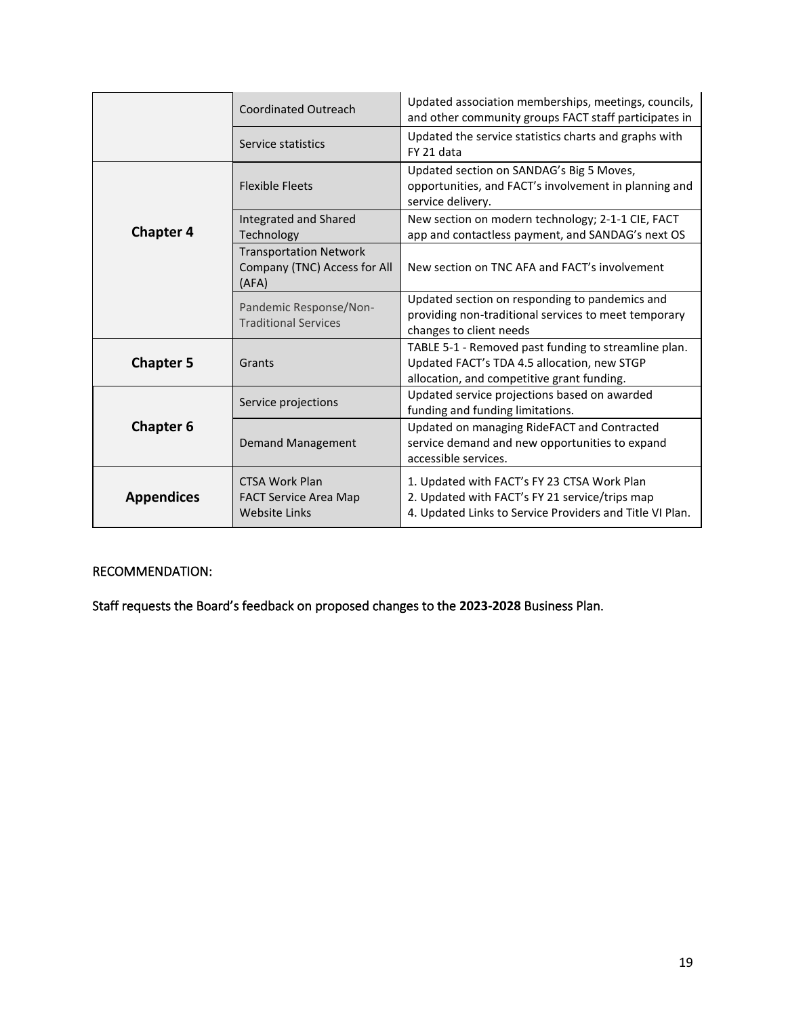|                   | <b>Coordinated Outreach</b>                                                   | Updated association memberships, meetings, councils,<br>and other community groups FACT staff participates in                                             |  |  |
|-------------------|-------------------------------------------------------------------------------|-----------------------------------------------------------------------------------------------------------------------------------------------------------|--|--|
|                   | Service statistics                                                            | Updated the service statistics charts and graphs with<br>FY 21 data                                                                                       |  |  |
|                   | <b>Flexible Fleets</b>                                                        | Updated section on SANDAG's Big 5 Moves,<br>opportunities, and FACT's involvement in planning and<br>service delivery.                                    |  |  |
| <b>Chapter 4</b>  | Integrated and Shared<br>Technology                                           | New section on modern technology; 2-1-1 CIE, FACT<br>app and contactless payment, and SANDAG's next OS                                                    |  |  |
|                   | <b>Transportation Network</b><br>Company (TNC) Access for All<br>(AFA)        | New section on TNC AFA and FACT's involvement                                                                                                             |  |  |
|                   | Pandemic Response/Non-<br><b>Traditional Services</b>                         | Updated section on responding to pandemics and<br>providing non-traditional services to meet temporary<br>changes to client needs                         |  |  |
| <b>Chapter 5</b>  | Grants                                                                        | TABLE 5-1 - Removed past funding to streamline plan.<br>Updated FACT's TDA 4.5 allocation, new STGP<br>allocation, and competitive grant funding.         |  |  |
|                   | Service projections                                                           | Updated service projections based on awarded<br>funding and funding limitations.                                                                          |  |  |
| <b>Chapter 6</b>  | <b>Demand Management</b>                                                      | Updated on managing RideFACT and Contracted<br>service demand and new opportunities to expand<br>accessible services.                                     |  |  |
| <b>Appendices</b> | <b>CTSA Work Plan</b><br><b>FACT Service Area Map</b><br><b>Website Links</b> | 1. Updated with FACT's FY 23 CTSA Work Plan<br>2. Updated with FACT's FY 21 service/trips map<br>4. Updated Links to Service Providers and Title VI Plan. |  |  |

## RECOMMENDATION:

Staff requests the Board's feedback on proposed changes to the **2023-2028** Business Plan.